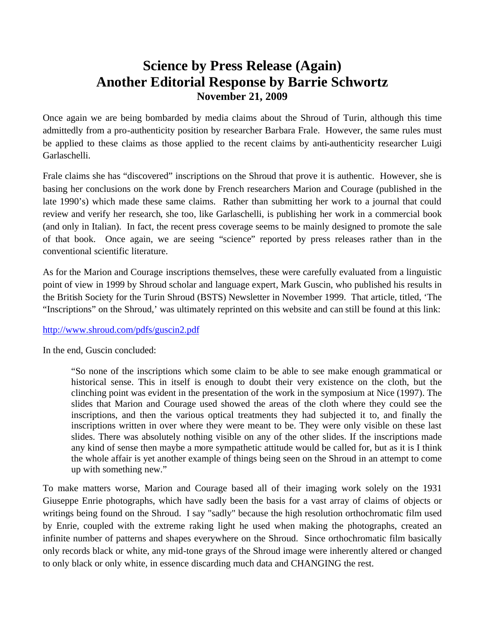## **Science by Press Release (Again) Another Editorial Response by Barrie Schwortz November 21, 2009**

Once again we are being bombarded by media claims about the Shroud of Turin, although this time admittedly from a pro-authenticity position by researcher Barbara Frale. However, the same rules must be applied to these claims as those applied to the recent claims by anti-authenticity researcher Luigi Garlaschelli.

Frale claims she has "discovered" inscriptions on the Shroud that prove it is authentic. However, she is basing her conclusions on the work done by French researchers Marion and Courage (published in the late 1990's) which made these same claims. Rather than submitting her work to a journal that could review and verify her research, she too, like Garlaschelli, is publishing her work in a commercial book (and only in Italian). In fact, the recent press coverage seems to be mainly designed to promote the sale of that book. Once again, we are seeing "science" reported by press releases rather than in the conventional scientific literature.

As for the Marion and Courage inscriptions themselves, these were carefully evaluated from a linguistic point of view in 1999 by Shroud scholar and language expert, Mark Guscin, who published his results in the British Society for the Turin Shroud (BSTS) Newsletter in November 1999. That article, titled, 'The "Inscriptions" on the Shroud,' was ultimately reprinted on this website and can still be found at this link:

## <http://www.shroud.com/pdfs/guscin2.pdf>

In the end, Guscin concluded:

"So none of the inscriptions which some claim to be able to see make enough grammatical or historical sense. This in itself is enough to doubt their very existence on the cloth, but the clinching point was evident in the presentation of the work in the symposium at Nice (1997). The slides that Marion and Courage used showed the areas of the cloth where they could see the inscriptions, and then the various optical treatments they had subjected it to, and finally the inscriptions written in over where they were meant to be. They were only visible on these last slides. There was absolutely nothing visible on any of the other slides. If the inscriptions made any kind of sense then maybe a more sympathetic attitude would be called for, but as it is I think the whole affair is yet another example of things being seen on the Shroud in an attempt to come up with something new."

To make matters worse, Marion and Courage based all of their imaging work solely on the 1931 Giuseppe Enrie photographs, which have sadly been the basis for a vast array of claims of objects or writings being found on the Shroud. I say "sadly" because the high resolution orthochromatic film used by Enrie, coupled with the extreme raking light he used when making the photographs, created an infinite number of patterns and shapes everywhere on the Shroud. Since orthochromatic film basically only records black or white, any mid-tone grays of the Shroud image were inherently altered or changed to only black or only white, in essence discarding much data and CHANGING the rest.